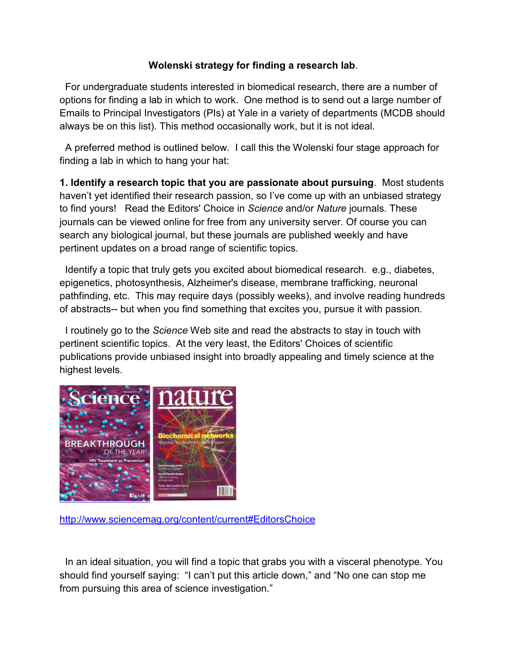## **Wolenski strategy for finding a research lab**.

For undergraduate students interested in biomedical research, there are a number of options for finding a lab in which to work. One method is to send out a large number of Emails to Principal Investigators (PIs) at Yale in a variety of departments (MCDB should always be on this list). This method occasionally work, but it is not ideal.

 A preferred method is outlined below. I call this the Wolenski four stage approach for finding a lab in which to hang your hat:

**1. Identify a research topic that you are passionate about pursuing**. Most students haven't yet identified their research passion, so I've come up with an unbiased strategy to find yours! Read the Editors' Choice in *Science* and/or *Nature* journals. These journals can be viewed online for free from any university server. Of course you can search any biological journal, but these journals are published weekly and have pertinent updates on a broad range of scientific topics.

 Identify a topic that truly gets you excited about biomedical research. e.g., diabetes, epigenetics, photosynthesis, Alzheimer's disease, membrane trafficking, neuronal pathfinding, etc. This may require days (possibly weeks), and involve reading hundreds of abstracts-- but when you find something that excites you, pursue it with passion.

 I routinely go to the *Science* Web site and read the abstracts to stay in touch with pertinent scientific topics. At the very least, the Editors' Choices of scientific publications provide unbiased insight into broadly appealing and timely science at the highest levels.



<http://www.sciencemag.org/content/current#EditorsChoice>

 In an ideal situation, you will find a topic that grabs you with a visceral phenotype. You should find yourself saying: "I can't put this article down," and "No one can stop me from pursuing this area of science investigation."